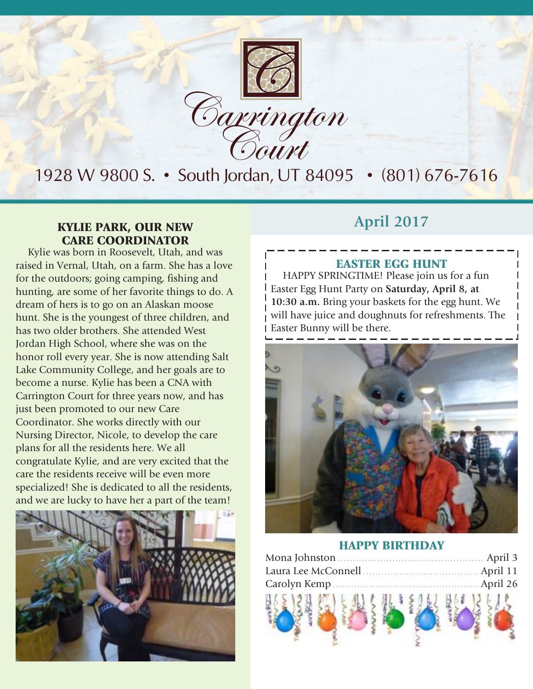

### 1928 W 9800 S. • South Jordan, UT 84095 • (801) 676-7616

#### **April 2017** KYLIE PARK, OUR NEW CARE COORDINATOR

Kylie was born in Roosevelt, Utah, and was raised in Vernal, Utah, on a farm. She has a love for the outdoors; going camping, fishing and hunting, are some of her favorite things to do. A dream of hers is to go on an Alaskan moose hunt. She is the youngest of three children, and has two older brothers. She attended West Jordan High School, where she was on the honor roll every year. She is now attending Salt Lake Community College, and her goals are to become a nurse. Kylie has been a CNA with Carrington Court for three years now, and has just been promoted to our new Care Coordinator. She works directly with our Nursing Director, Nicole, to develop the care plans for all the residents here. We all congratulate Kylie, and are very excited that the care the residents receive will be even more specialized! She is dedicated to all the residents, and we are lucky to have her a part of the team!



#### EASTER EGG HUNT

HAPPY SPRINGTIME! Please join us for a fun Easter Egg Hunt Party on **Saturday, April 8, at 10:30 a.m.** Bring your baskets for the egg hunt. We will have juice and doughnuts for refreshments. The Easter Bunny will be there.



#### HAPPY BIRTHDAY

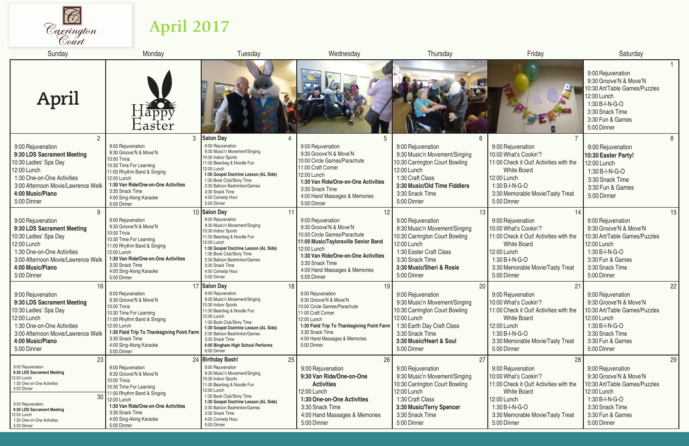

## **April 2017**

| Sunday                                                                                                                                                                                                                                 | Monday                                                                                                                                                                                                                                          | Tuesday                                                                                                                                                                                                                                                                                                                   | Wednesday                                                                                                                                                                                                                                          | Thursday                                                                                                                                                                                             | Friday                                                                                                                                                                                                | Saturday                                                                                                                                                                  |
|----------------------------------------------------------------------------------------------------------------------------------------------------------------------------------------------------------------------------------------|-------------------------------------------------------------------------------------------------------------------------------------------------------------------------------------------------------------------------------------------------|---------------------------------------------------------------------------------------------------------------------------------------------------------------------------------------------------------------------------------------------------------------------------------------------------------------------------|----------------------------------------------------------------------------------------------------------------------------------------------------------------------------------------------------------------------------------------------------|------------------------------------------------------------------------------------------------------------------------------------------------------------------------------------------------------|-------------------------------------------------------------------------------------------------------------------------------------------------------------------------------------------------------|---------------------------------------------------------------------------------------------------------------------------------------------------------------------------|
| April                                                                                                                                                                                                                                  | $\Box$ app $\overline{\nu}$<br>$\rm Easter$                                                                                                                                                                                                     |                                                                                                                                                                                                                                                                                                                           |                                                                                                                                                                                                                                                    | H                                                                                                                                                                                                    |                                                                                                                                                                                                       | 9:00 Rejuvenation<br>9:30 Groove'N & Move'N<br>10:30 Art/Table Games/Puzzles<br>12:00 Lunch<br>1:30 B-I-N-G-O<br>3:30 Snack Time<br>3:30 Fun & Games<br>5:00 Dinner       |
| 9:00 Rejuvenation<br>9:30 LDS Sacrament Meeting<br>10:30 Ladies' Spa Day<br>12:00 Lunch<br>1:30 One-on-One Activities<br>3:00 Afternoon Movie/Lawrence Welk<br>4:00 Music/Piano<br>5:00 Dinner                                         | 3<br>9:00 Rejuvenation<br>9:30 Groove'N & Move'N<br>10:00 Trivia<br>10:30 Time For Learning<br>11:00 Rhythm Band & Singing<br>12:00 Lunch<br>1:30 Van Ride/One-on-One Activities<br>3:30 Snack Time<br>4:00 Sing-Along Karaoke<br>5:00 Dinner   | <b>Salon Day</b><br>9:00 Rejuvenation<br>9:30 Music'n Movement/Singing<br>10:30 Indoor Sports<br>11:30 Beanbag & Noodle Fun<br>12:00 Lunch<br>1:30 Gospel Doctrine Lesson (AL Side)<br>1:30 Book Club/Story Time<br>2:30 Balloon Badminton/Games<br>3:30 Snack Time<br>4:00 Comedy Hour<br>5:00 Dinner                    | 9:00 Rejuvenation<br>9:30 Groove'N & Move'N<br>10:00 Circle Games/Parachute<br>11:00 Craft Corner<br>12:00 Lunch<br>1:30 Van Ride/One-on-One Activities<br>3:30 Snack Time<br>4:00 Hand Massages & Memories<br>5:00 Dinner                         | 9:00 Rejuvenation<br>9:30 Music'n Movement/Singing<br>10:30 Carrington Court Bowling<br>12:00 Lunch<br>1:30 Craft Class<br>3:30 Music/Old Time Fiddlers<br>3:30 Snack Time<br>5:00 Dinner            | 9:00 Rejuvenation<br>10:00 What's Cookin'?<br>11:00 Check it Out! Activities with the<br><b>White Board</b><br>12:00 Lunch<br>1:30 B-I-N-G-O<br>3:30 Memorable Movie/Tasty Treat<br>5:00 Dinner       | 8<br>9:00 Rejuvenation<br>10:30 Easter Party!<br>12:00 Lunch<br>1:30 B-I-N-G-O<br>3:30 Snack Time<br>3:30 Fun & Games<br>5:00 Dinner                                      |
| 9:00 Rejuvenation<br>9:30 LDS Sacrament Meeting<br>10:30 Ladies' Spa Day<br>12:00 Lunch<br>1:30 One-on-One Activities<br>3:00 Afternoon Movie/Lawrence Welk<br>4:00 Music/Piano<br>5:00 Dinner                                         | 9:00 Rejuvenation<br>9:30 Groove'N & Move'N<br>10:00 Trivia<br>10:30 Time For Learning<br>11:00 Rhythm Band & Singing<br>12:00 Lunch<br>1:30 Van Ride/One-on-One Activities<br>3:30 Snack Time<br>4:00 Sing-Along Karaoke<br>5:00 Dinner        | 10 Salon Day<br>9:00 Rejuvenation<br>9:30 Music'n Movement/Singing<br>10:30 Indoor Sports<br>11:30 Beanbag & Noodle Fun<br>12:00 Lunch<br>1:30 Gospel Doctrine Lesson (AL Side)<br>1:30 Book Club/Story Time<br>2:30 Balloon Badminton/Games<br>3:30 Snack Time<br>4:00 Comedy Hour<br>5:00 Dinner                        | 12<br>9:00 Rejuvenation<br>9:30 Groove'N & Move'N<br>10:00 Circle Games/Parachute<br>11:00 Music/Taylorsville Senior Band<br>12:00 Lunch<br>1:30 Van Ride/One-on-One Activities<br>3:30 Snack Time<br>4:00 Hand Massages & Memories<br>5:00 Dinner | 13<br>9:00 Rejuvenation<br>9:30 Music'n Movement/Singing<br>10:30 Carrington Court Bowling<br>12:00 Lunch<br>1:30 Easter Craft Class<br>3:30 Snack Time<br>3:30 Music/Sheri & Rosie<br>5:00 Dinner   | 14<br>9:00 Rejuvenation<br>10:00 What's Cookin'?<br>11:00 Check it Out! Activities with the<br><b>White Board</b><br>12:00 Lunch<br>1:30 B-I-N-G-O<br>3:30 Memorable Movie/Tasty Treat<br>5:00 Dinner | 15<br>9:00 Rejuvenation<br>9:30 Groove'N & Move'N<br>10:30 Art/Table Games/Puzzles<br>12:00 Lunch<br>1:30 B-I-N-G-O<br>3:30 Fun & Games<br>3:30 Snack Time<br>5:00 Dinner |
| 9:00 Rejuvenation<br>9:30 LDS Sacrament Meeting<br>10:30 Ladies' Spa Day<br>12:00 Lunch<br>1:30 One-on-One Activities<br>3:00 Afternoon Movie/Lawrence Welk<br>4:00 Music/Piano<br>5:00 Dinner                                         | 9:00 Rejuvenation<br>9:30 Groove'N & Move'N<br>10:00 Trivia<br>10:30 Time For Learning<br>11:00 Rhythm Band & Singing<br>12:00 Lunch<br>1:30 Field Trip To Thanksgiving Point Farm<br>3:30 Snack Time<br>4:00 Sing-Along Karaoke<br>5:00 Dinner | 17 Salon Day<br>18<br>9:00 Rejuvenation<br>9:30 Music'n Movement/Singing<br>10:30 Indoor Sports<br>11:30 Beanbag & Noodle Fun<br>12:00 Lunch<br>1:30 Book Club/Story Time<br>1:30 Gospel Doctrine Lesson (AL Side)<br>2:30 Balloon Badminton/Games<br>3:30 Snack Time<br>4:00 Bingham High School Performs<br>5:00 Dinner | 19<br>9:00 Rejuvenation<br>9:30 Groove'N & Move'N<br>10:00 Circle Games/Parachute<br>11:00 Craft Corner<br>12:00 Lunch<br>1:30 Field Trip To Thanksgiving Point Farm<br>3:30 Snack Time<br>4:00 Hand Massages & Memories<br>5:00 Dinner            | 20<br>9:00 Rejuvenation<br>9:30 Music'n Movement/Singing<br>10:30 Carrington Court Bowling<br>12:00 Lunch<br>1:30 Earth Day Craft Class<br>3:30 Snack Time<br>3:30 Music/Heart & Soul<br>5:00 Dinner | 21<br>9:00 Rejuvenation<br>10:00 What's Cookin'?<br>11:00 Check it Out! Activities with the<br><b>White Board</b><br>12:00 Lunch<br>1:30 B-I-N-G-O<br>3:30 Memorable Movie/Tasty Treat<br>5:00 Dinner | 22<br>9:00 Rejuvenation<br>9:30 Groove'N & Move'N<br>10:30 Art/Table Games/Puzzles<br>12:00 Lunch<br>1:30 B-I-N-G-O<br>3:30 Snack Time<br>3:30 Fun & Games<br>5:00 Dinner |
| 23<br>9:00 Rejuvenation<br>9:30 LDS Sacrament Meeting<br>12:00 Lunch<br>1:30 One-on-One Activities<br>5:00 Dinner<br>30<br>9:00 Rejuvenation<br>9:30 LDS Sacrament Meeting<br>12:00 Lunch<br>1:30 One-on-One Activities<br>5:00 Dinner | 24<br>9:00 Rejuvenation<br>9:30 Groove'N & Move'N<br>10:00 Trivia<br>10:30 Time For Learning<br>11:00 Rhythm Band & Singing<br>12:00 Lunch<br>1:30 Van Ride/One-on-One Activities<br>3:30 Snack Time<br>4:00 Sing-Along Karaoke<br>5:00 Dinner  | <b>Birthday Bash!</b><br>25<br>9:00 Rejuvenation<br>9:30 Music'n Movement/Singing<br>10:30 Indoor Sports<br>11:30 Beanbag & Noodle Fun<br>12:00 Lunch<br>1:30 Book Club/Story Time<br>1:30 Gospel Doctrine Lesson (AL Side)<br>2:30 Balloon Badminton/Games<br>3:30 Snack Time<br>4:00 Comedy Hour<br>5:00 Dinner         | 26<br>9:00 Rejuvenation<br>9:30 Van Ride/One-on-One<br><b>Activities</b><br>12:00 Lunch<br>1:30 One-on-One Activities<br>3:30 Snack Time<br>4:00 Hand Massages & Memories<br>5:00 Dinner                                                           | 27<br>9:00 Rejuvenation<br>9:30 Music'n Movement/Singing<br>10:30 Carrington Court Bowling<br>12:00 Lunch<br>1:30 Craft Class<br>3:30 Music/Terry Spencer<br>3:30 Snack Time<br>5:00 Dinner          | 28<br>9:00 Rejuvenation<br>10:00 What's Cookin'?<br>11:00 Check it Out! Activities with the<br><b>White Board</b><br>12:00 Lunch<br>1:30 B-I-N-G-O<br>3:30 Memorable Movie/Tasty Treat<br>5:00 Dinner | 29<br>9:00 Rejuvenation<br>9:30 Groove'N & Move'N<br>10:30 Art/Table Games/Puzzles<br>12:00 Lunch<br>1:30 B-I-N-G-O<br>3:30 Snack Time<br>3:30 Fun & Games<br>5:00 Dinner |